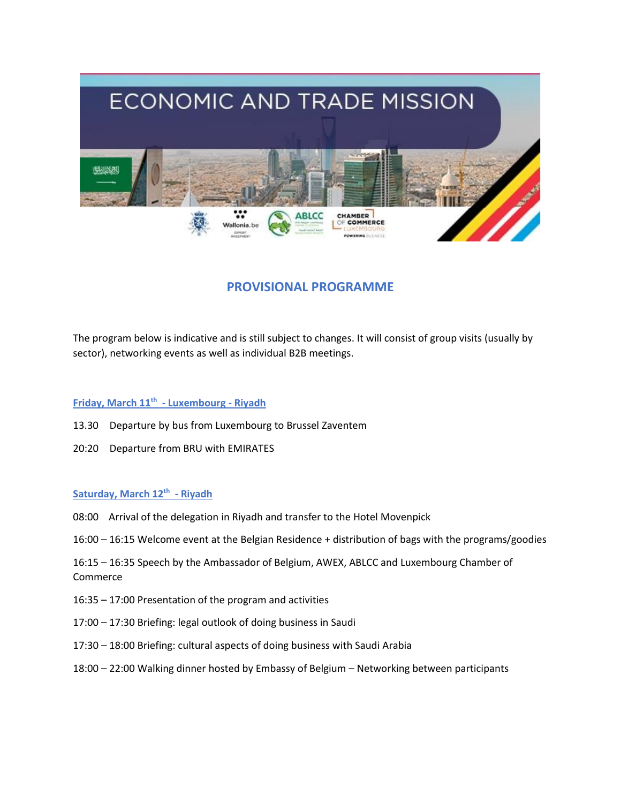

# **PROVISIONAL PROGRAMME**

The program below is indicative and is still subject to changes. It will consist of group visits (usually by sector), networking events as well as individual B2B meetings.

# **Friday, March 11th - Luxembourg - Riyadh**

- 13.30 Departure by bus from Luxembourg to Brussel Zaventem
- 20:20 Departure from BRU with EMIRATES

# **Saturday, March 12th - Riyadh**

- 08:00 Arrival of the delegation in Riyadh and transfer to the Hotel Movenpick
- 16:00 16:15 Welcome event at the Belgian Residence + distribution of bags with the programs/goodies

16:15 – 16:35 Speech by the Ambassador of Belgium, AWEX, ABLCC and Luxembourg Chamber of Commerce

- 16:35 17:00 Presentation of the program and activities
- 17:00 17:30 Briefing: legal outlook of doing business in Saudi
- 17:30 18:00 Briefing: cultural aspects of doing business with Saudi Arabia
- 18:00 22:00 Walking dinner hosted by Embassy of Belgium Networking between participants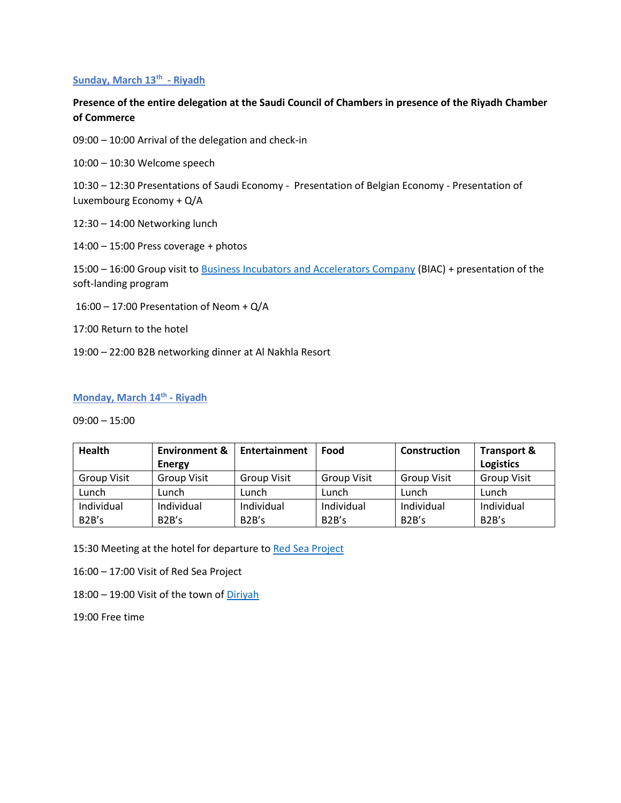## **Sunday, March 13th - Riyadh**

# **Presence of the entire delegation at the Saudi Council of Chambers in presence of the Riyadh Chamber of Commerce**

09:00 – 10:00 Arrival of the delegation and check-in

10:00 – 10:30 Welcome speech

10:30 – 12:30 Presentations of Saudi Economy - Presentation of Belgian Economy - Presentation of Luxembourg Economy + Q/A

12:30 – 14:00 Networking lunch

14:00 – 15:00 Press coverage + photos

15:00 – 16:00 Group visit to [Business Incubators and Accelerators Company](https://biac.com.sa/about/?lang=en) (BIAC) + presentation of the soft-landing program

16:00 – 17:00 Presentation of Neom + Q/A

17:00 Return to the hotel

19:00 – 22:00 B2B networking dinner at Al Nakhla Resort

### **Monday, March 14th - Riyadh**

09:00 – 15:00

| <b>Health</b>      | <b>Environment &amp;</b> | Entertainment      | Food               | <b>Construction</b> | Transport &        |
|--------------------|--------------------------|--------------------|--------------------|---------------------|--------------------|
|                    | <b>Energy</b>            |                    |                    |                     | <b>Logistics</b>   |
| <b>Group Visit</b> | Group Visit              | <b>Group Visit</b> | <b>Group Visit</b> | <b>Group Visit</b>  | <b>Group Visit</b> |
| Lunch              | Lunch                    | Lunch              | Lunch              | Lunch               | Lunch              |
| Individual         | Individual               | Individual         | Individual         | Individual          | Individual         |
| B <sub>2</sub> B's | B2B's                    | B2B's              | B <sub>2</sub> B's | B <sub>2</sub> B's  | B <sub>2</sub> B's |

15:30 Meeting at the hotel for departure to [Red Sea Project](https://www.theredsea.sa/en) 

16:00 – 17:00 Visit of Red Sea Project

18:00 – 19:00 Visit of the town o[f Diriyah](https://en.wikipedia.org/wiki/Diriyah)

19:00 Free time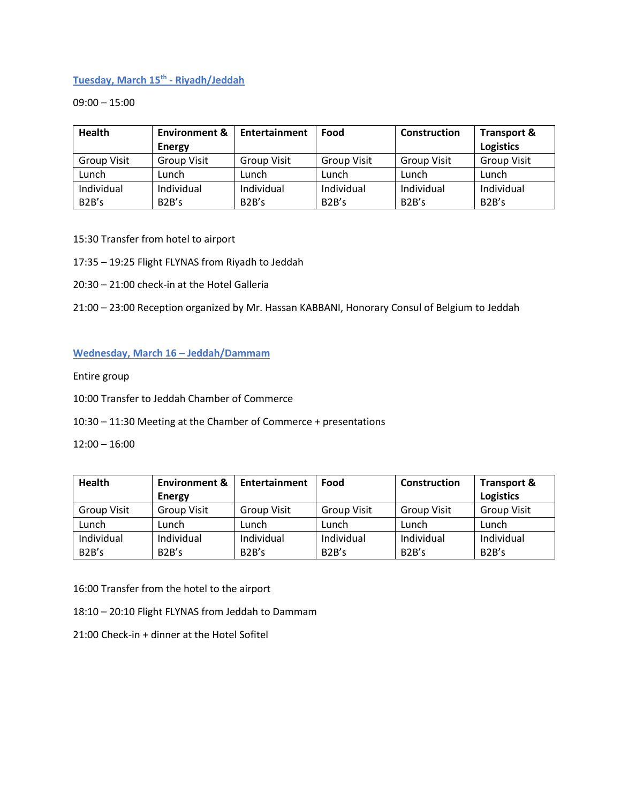# **Tuesday, March 15th - Riyadh/Jeddah**

09:00 – 15:00

| <b>Health</b>      | <b>Environment &amp;</b> | Entertainment      | Food               | Construction       | <b>Transport &amp;</b> |
|--------------------|--------------------------|--------------------|--------------------|--------------------|------------------------|
|                    | <b>Energy</b>            |                    |                    |                    | <b>Logistics</b>       |
| <b>Group Visit</b> | <b>Group Visit</b>       | <b>Group Visit</b> | <b>Group Visit</b> | <b>Group Visit</b> | <b>Group Visit</b>     |
| Lunch              | Lunch                    | Lunch              | Lunch              | Lunch              | Lunch                  |
| Individual         | Individual               | Individual         | Individual         | Individual         | Individual             |
| B2B's              | B2B's                    | B2B's              | B2B's              | B <sub>2</sub> B's | B <sub>2</sub> B's     |

- 15:30 Transfer from hotel to airport
- 17:35 19:25 Flight FLYNAS from Riyadh to Jeddah
- 20:30 21:00 check-in at the Hotel Galleria
- 21:00 23:00 Reception organized by Mr. Hassan KABBANI, Honorary Consul of Belgium to Jeddah

# **Wednesday, March 16 – Jeddah/Dammam**

Entire group

- 10:00 Transfer to Jeddah Chamber of Commerce
- 10:30 11:30 Meeting at the Chamber of Commerce + presentations

12:00 – 16:00

| <b>Health</b>      | <b>Environment &amp;</b> | Entertainment      | Food               | <b>Construction</b> | <b>Transport &amp;</b> |
|--------------------|--------------------------|--------------------|--------------------|---------------------|------------------------|
|                    | <b>Energy</b>            |                    |                    |                     | <b>Logistics</b>       |
| <b>Group Visit</b> | <b>Group Visit</b>       | <b>Group Visit</b> | <b>Group Visit</b> | <b>Group Visit</b>  | <b>Group Visit</b>     |
| Lunch              | Lunch                    | Lunch              | Lunch              | Lunch               | Lunch                  |
| Individual         | Individual               | Individual         | Individual         | Individual          | Individual             |
| B <sub>2</sub> B's | B2B's                    | B2B's              | B <sub>2</sub> B's | B <sub>2</sub> B's  | B <sub>2</sub> B's     |

16:00 Transfer from the hotel to the airport

18:10 – 20:10 Flight FLYNAS from Jeddah to Dammam

21:00 Check-in + dinner at the Hotel Sofitel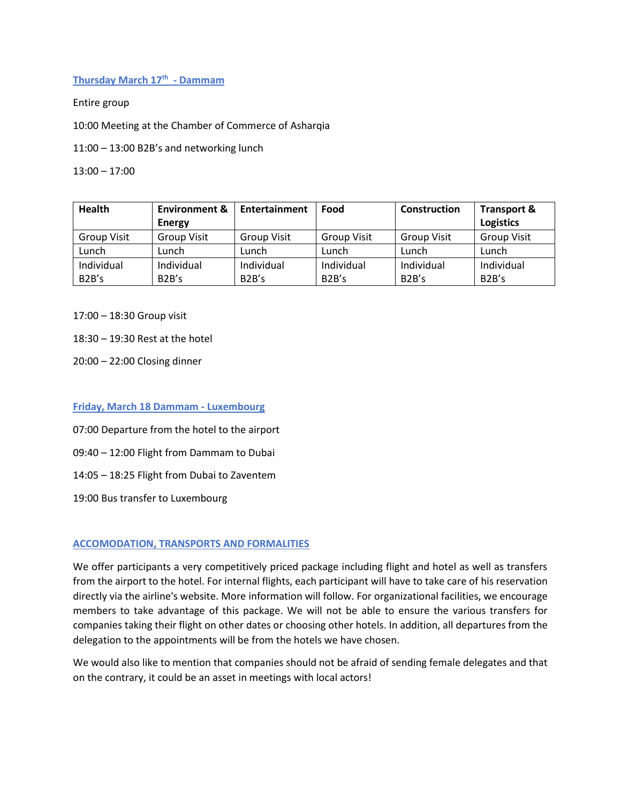# **Thursday March 17th - Dammam**

Entire group

10:00 Meeting at the Chamber of Commerce of Asharqia

11:00 – 13:00 B2B's and networking lunch

13:00 – 17:00

| <b>Health</b>      | <b>Environment &amp;</b> | Entertainment      | Food               | Construction       | Transport &        |
|--------------------|--------------------------|--------------------|--------------------|--------------------|--------------------|
|                    | <b>Energy</b>            |                    |                    |                    | <b>Logistics</b>   |
| Group Visit        | <b>Group Visit</b>       | <b>Group Visit</b> | <b>Group Visit</b> | <b>Group Visit</b> | <b>Group Visit</b> |
| Lunch              | Lunch                    | Lunch              | Lunch              | Lunch              | Lunch              |
| Individual         | Individual               | Individual         | Individual         | Individual         | Individual         |
| B <sub>2</sub> B's | B2B's                    | B2B's              | B2B's              | B <sub>2</sub> B's | B <sub>2</sub> B's |

17:00 – 18:30 Group visit

18:30 – 19:30 Rest at the hotel

20:00 – 22:00 Closing dinner

### **Friday, March 18 Dammam - Luxembourg**

07:00 Departure from the hotel to the airport

09:40 – 12:00 Flight from Dammam to Dubai

14:05 – 18:25 Flight from Dubai to Zaventem

19:00 Bus transfer to Luxembourg

#### **ACCOMODATION, TRANSPORTS AND FORMALITIES**

We offer participants a very competitively priced package including flight and hotel as well as transfers from the airport to the hotel. For internal flights, each participant will have to take care of his reservation directly via the airline's website. More information will follow. For organizational facilities, we encourage members to take advantage of this package. We will not be able to ensure the various transfers for companies taking their flight on other dates or choosing other hotels. In addition, all departures from the delegation to the appointments will be from the hotels we have chosen.

We would also like to mention that companies should not be afraid of sending female delegates and that on the contrary, it could be an asset in meetings with local actors!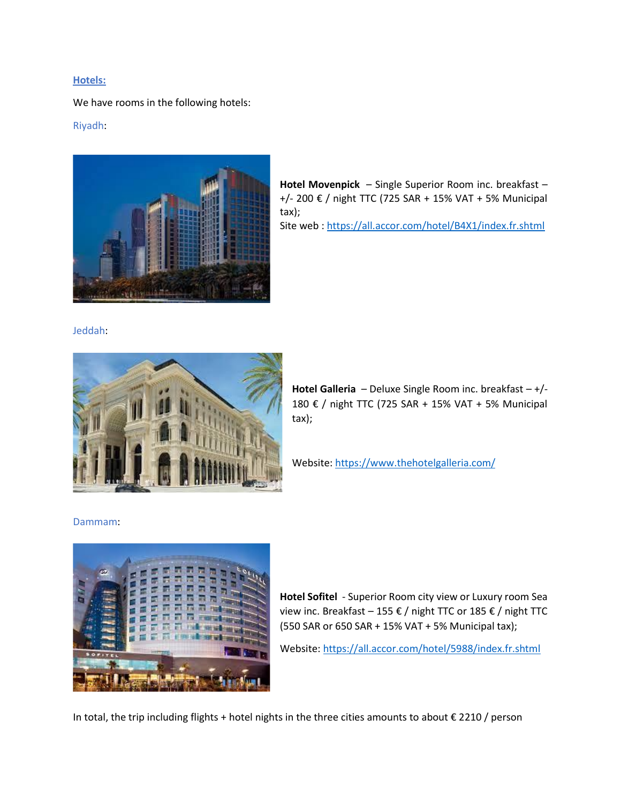#### **Hotels:**

We have rooms in the following hotels:

### Riyadh:



**Hotel Movenpick** – Single Superior Room inc. breakfast – +/- 200 € / night TTC (725 SAR + 15% VAT + 5% Municipal tax); Site web :<https://all.accor.com/hotel/B4X1/index.fr.shtml>

# Jeddah:



**Hotel Galleria** – Deluxe Single Room inc. breakfast – +/- 180 € / night TTC (725 SAR + 15% VAT + 5% Municipal tax);

Website[: https://www.thehotelgalleria.com/](https://www.thehotelgalleria.com/)

#### Dammam:



**Hotel Sofitel** - Superior Room city view or Luxury room Sea view inc. Breakfast – 155 € / night TTC or 185 € / night TTC (550 SAR or 650 SAR + 15% VAT + 5% Municipal tax);

Website[: https://all.accor.com/hotel/5988/index.fr.shtml](https://all.accor.com/hotel/5988/index.fr.shtml)

In total, the trip including flights + hotel nights in the three cities amounts to about € 2210 / person